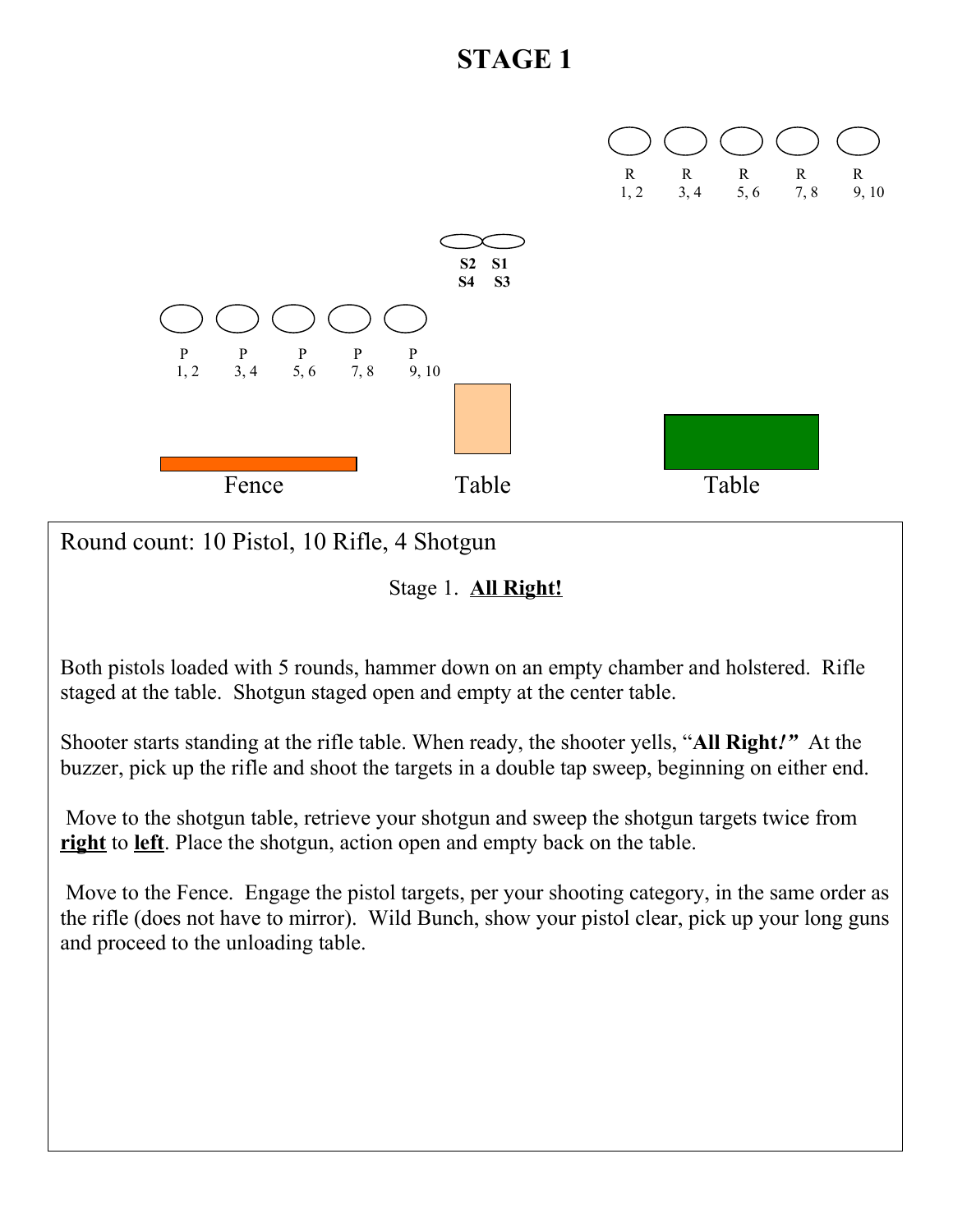

Round count: 10 Pistol, 10 Rifle, 4 Shotgun

Stage 1. **All Right!**

Both pistols loaded with 5 rounds, hammer down on an empty chamber and holstered. Rifle staged at the table. Shotgun staged open and empty at the center table.

Shooter starts standing at the rifle table. When ready, the shooter yells, "**All Right***!"* At the buzzer, pick up the rifle and shoot the targets in a double tap sweep, beginning on either end.

 Move to the shotgun table, retrieve your shotgun and sweep the shotgun targets twice from **right** to **left**. Place the shotgun, action open and empty back on the table.

 Move to the Fence. Engage the pistol targets, per your shooting category, in the same order as the rifle (does not have to mirror). Wild Bunch, show your pistol clear, pick up your long guns and proceed to the unloading table.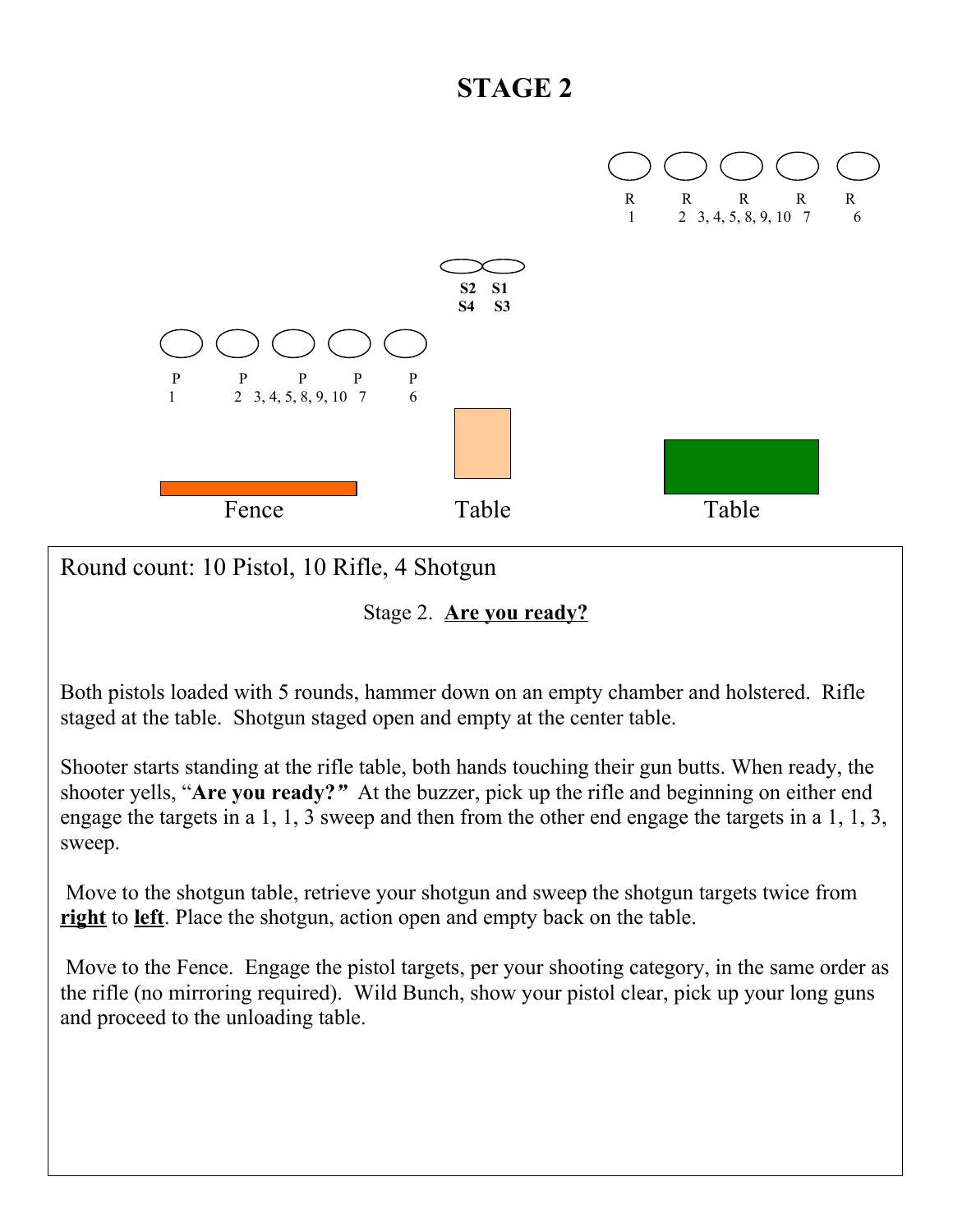

Round count: 10 Pistol, 10 Rifle, 4 Shotgun

Stage 2. **Are you ready?**

Both pistols loaded with 5 rounds, hammer down on an empty chamber and holstered. Rifle staged at the table. Shotgun staged open and empty at the center table.

Shooter starts standing at the rifle table, both hands touching their gun butts. When ready, the shooter yells, "**Are you ready?***"* At the buzzer, pick up the rifle and beginning on either end engage the targets in a 1, 1, 3 sweep and then from the other end engage the targets in a 1, 1, 3, sweep.

 Move to the shotgun table, retrieve your shotgun and sweep the shotgun targets twice from **right** to **left**. Place the shotgun, action open and empty back on the table.

 Move to the Fence. Engage the pistol targets, per your shooting category, in the same order as the rifle (no mirroring required). Wild Bunch, show your pistol clear, pick up your long guns and proceed to the unloading table.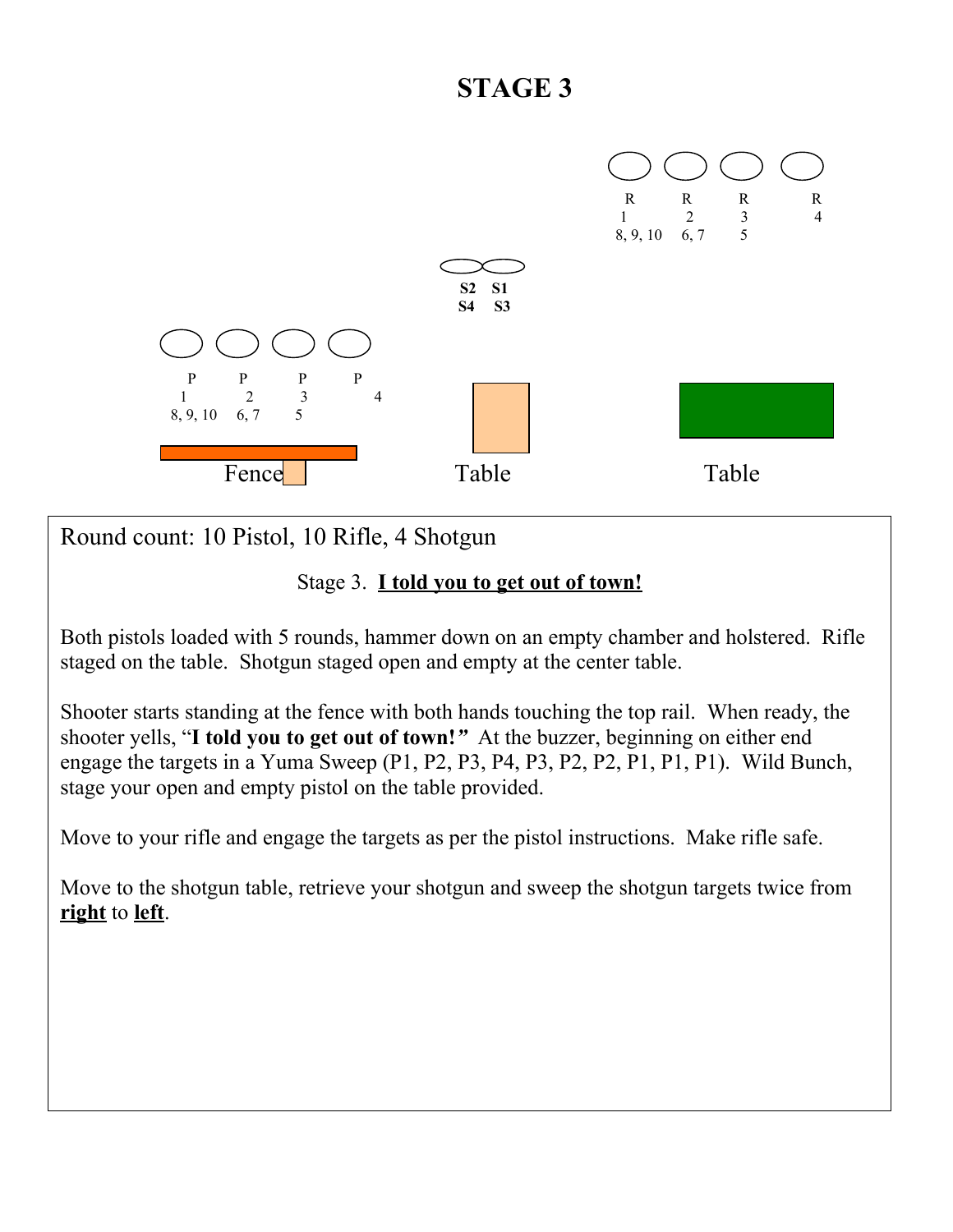

Round count: 10 Pistol, 10 Rifle, 4 Shotgun

#### Stage 3. **I told you to get out of town!**

Both pistols loaded with 5 rounds, hammer down on an empty chamber and holstered. Rifle staged on the table. Shotgun staged open and empty at the center table.

Shooter starts standing at the fence with both hands touching the top rail. When ready, the shooter yells, "**I told you to get out of town!***"* At the buzzer, beginning on either end engage the targets in a Yuma Sweep (P1, P2, P3, P4, P3, P2, P2, P1, P1, P1). Wild Bunch, stage your open and empty pistol on the table provided.

Move to your rifle and engage the targets as per the pistol instructions. Make rifle safe.

Move to the shotgun table, retrieve your shotgun and sweep the shotgun targets twice from **right** to **left**.